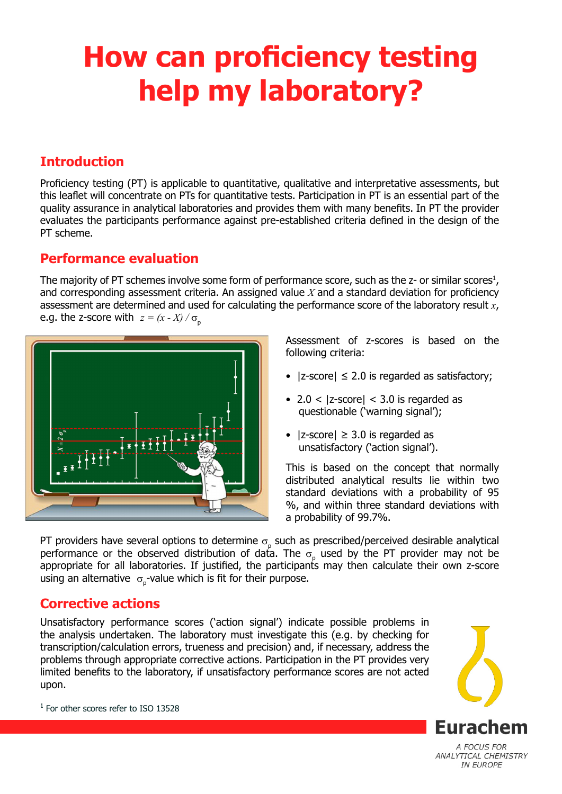# **How can proficiency testing help my laboratory?**

## **Introduction**

Proficiency testing (PT) is applicable to quantitative, qualitative and interpretative assessments, but this leaflet will concentrate on PTs for quantitative tests. Participation in PT is an essential part of the quality assurance in analytical laboratories and provides them with many benefits. In PT the provider evaluates the participants performance against pre-established criteria defined in the design of the PT scheme.

## **Performance evaluation**

The majority of PT schemes involve some form of performance score, such as the  $z$ - or similar scores<sup>1</sup>, and corresponding assessment criteria. An assigned value *X* and a standard deviation for proficiency assessment are determined and used for calculating the performance score of the laboratory result *x*, e.g. the z-score with  $z = (x - X) / \sigma_p$ 



Assessment of z-scores is based on the following criteria:

- $|z\text{-score}| \leq 2.0$  is regarded as satisfactory;
- 2.0 <  $|z$ -score $|$  < 3.0 is regarded as questionable ('warning signal');
- $|z\text{-score}| \geq 3.0$  is regarded as unsatisfactory ('action signal').

This is based on the concept that normally distributed analytical results lie within two standard deviations with a probability of 95 %, and within three standard deviations with a probability of 99.7%.

PT providers have several options to determine  $\sigma_{\text{p}}$  such as prescribed/perceived desirable analytical performance or the observed distribution of data. The  $\sigma_{\text{p}}$  used by the PT provider may not be appropriate for all laboratories. If justified, the participants may then calculate their own z-score using an alternative  $\sigma_{p}$ -value which is fit for their purpose.

# **Corrective actions**

Unsatisfactory performance scores ('action signal') indicate possible problems in the analysis undertaken. The laboratory must investigate this (e.g. by checking for transcription/calculation errors, trueness and precision) and, if necessary, address the problems through appropriate corrective actions. Participation in the PT provides very limited benefits to the laboratory, if unsatisfactory performance scores are not acted upon.



ANALYTICAL CHEMISTRY **IN EUROPE** 

<sup>1</sup> For other scores refer to ISO 13528